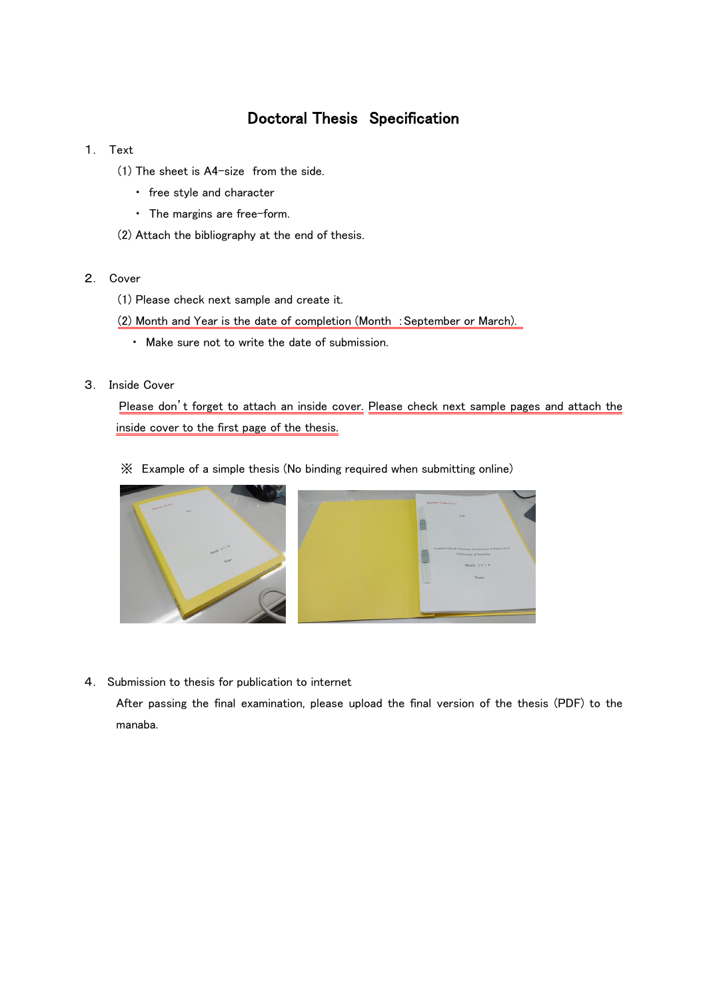### Doctoral Thesis Specification

- 1. Text
	- (1) The sheet is A4-size from the side.
		- ・ free style and character
		- ・ The margins are free-form.
	- (2) Attach the bibliography at the end of thesis.
- 2. Cover
	- (1) Please check next sample and create it.
	- (2) Month and Year is the date of completion (Month :September or March).
		- ・ Make sure not to write the date of submission.
- 3. Inside Cover

Please don't forget to attach an inside cover. Please check next sample pages and attach the inside cover to the first page of the thesis.

※ Example of a simple thesis (No binding required when submitting online)



4. Submission to thesis for publication to internet

After passing the final examination, please upload the final version of the thesis (PDF) to the manaba.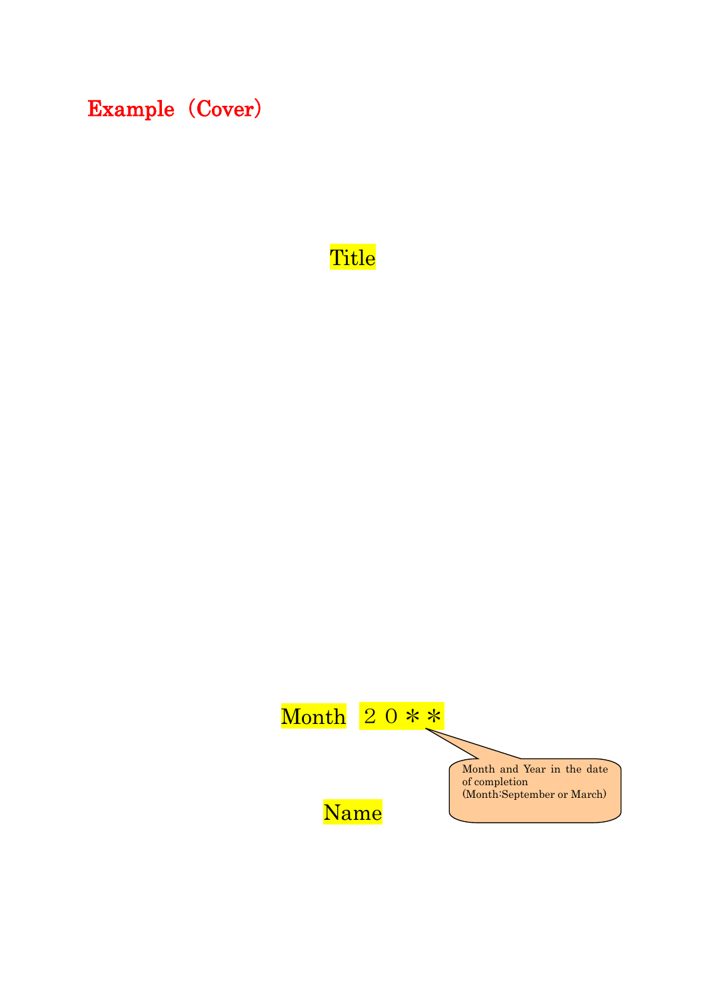Example (Cover)

# Title

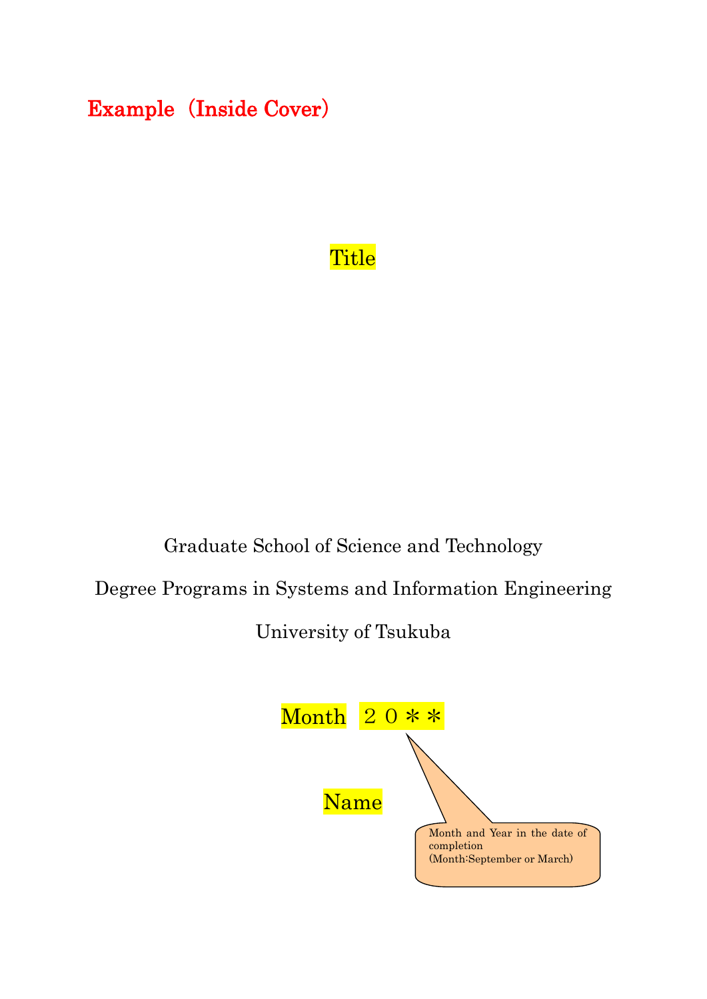# Example (Inside Cover)

# **Title**

## Graduate School of Science and Technology

Degree Programs in Systems and Information Engineering

University of Tsukuba

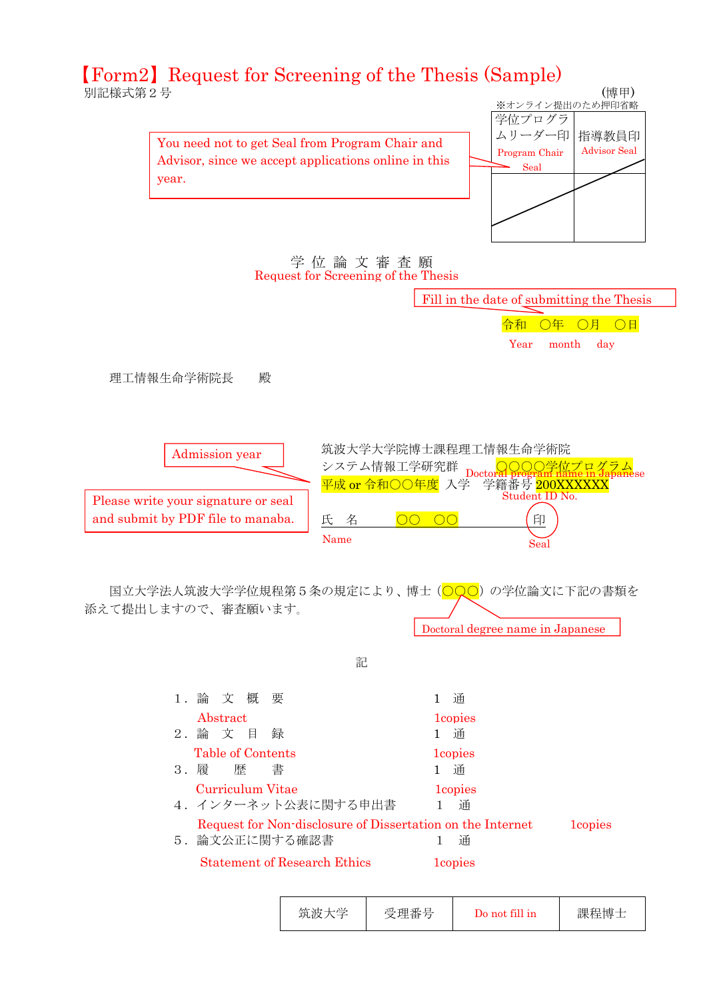### **別記様式第2号 インスティックス かんきょう こうしょう こうしょう (博甲)** 【Form2】Request for Screening of the Thesis (Sample)

Advisor, since we accept applications online in this before your submit that  $\mathbf{y}$  is formally submit that  $\mathbf{y}$  is formally submit that  $\mathbf{y}$  is formally submit that  $\mathbf{y}$  is formally submit that  $\mathbf{y}$  is formally submit that  $\mathbf{y}$  is formally submit that You need not to get Seal from Program Chair and



学 位 論 文 審 査 願 Request for Screening of the Thesis



| 筑波大学 | 受理番号 | Do not fill in | 課程博士 |
|------|------|----------------|------|
|------|------|----------------|------|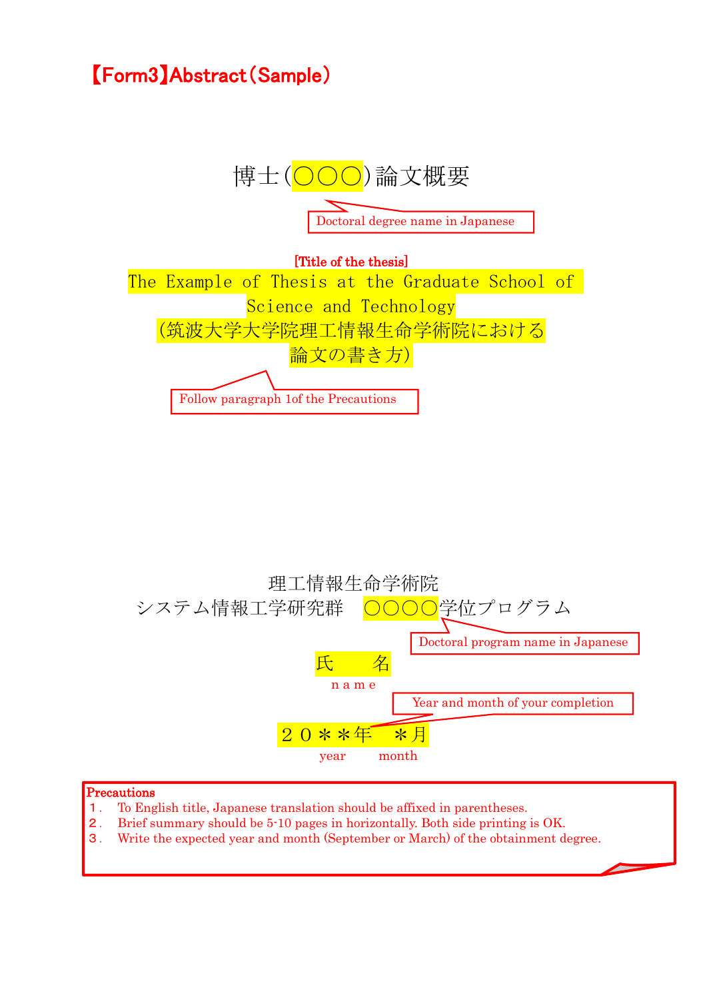# 【Form3】Abstract(Sample)





#### Precautions

- 1. To English title, Japanese translation should be affixed in parentheses.
- 2. Brief summary should be 5-10 pages in horizontally. Both side printing is OK.
- 3. Write the expected year and month (September or March) of the obtainment degree.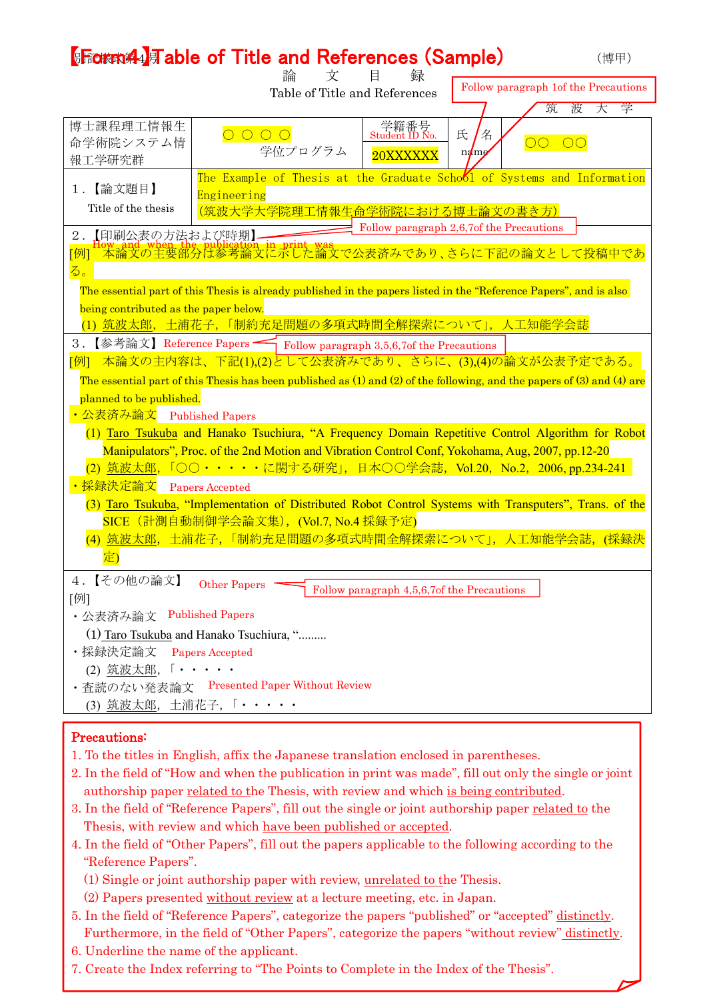|                                                                                                                                                             | <b>【Frown44】 Table of Title and References (Sample)</b>                                                            |                                                                         |                                          | (博甲)                                  |
|-------------------------------------------------------------------------------------------------------------------------------------------------------------|--------------------------------------------------------------------------------------------------------------------|-------------------------------------------------------------------------|------------------------------------------|---------------------------------------|
|                                                                                                                                                             | 論                                                                                                                  | 文<br>目<br>録<br>Table of Title and References                            |                                          | Follow paragraph 1 of the Precautions |
|                                                                                                                                                             |                                                                                                                    |                                                                         |                                          | 波<br>大<br>学<br>筑                      |
| 博士課程理工情報生                                                                                                                                                   |                                                                                                                    | 字籍番号<br>Student ID No.                                                  | 氏<br>名                                   |                                       |
| 命学術院システム情                                                                                                                                                   | 学位プログラム                                                                                                            | 20XXXXXX                                                                | $n$ ame                                  | 00 00                                 |
| 報工学研究群                                                                                                                                                      |                                                                                                                    |                                                                         |                                          |                                       |
| 【論文題目】<br>1.                                                                                                                                                |                                                                                                                    | The Example of Thesis at the Graduate School of Systems and Information |                                          |                                       |
| Title of the thesis                                                                                                                                         | Engineering                                                                                                        |                                                                         |                                          |                                       |
|                                                                                                                                                             |                                                                                                                    | <u>(筑波大学大学院理工情報生命学術院における博士論文の書き方)</u>                                   | Follow paragraph 2,6,7of the Precautions |                                       |
| 【印刷公表の方法および時期】<br>$2$ .                                                                                                                                     |                                                                                                                    |                                                                         |                                          |                                       |
| [例]                                                                                                                                                         | fow" and when The publication in print was<br>-本論文の主要部分は参考論文に示した論文で公表済みであり、さらに下記の論文として投稿中であ                        |                                                                         |                                          |                                       |
| る。                                                                                                                                                          |                                                                                                                    |                                                                         |                                          |                                       |
|                                                                                                                                                             | The essential part of this Thesis is already published in the papers listed in the "Reference Papers", and is also |                                                                         |                                          |                                       |
| being contributed as the paper below.                                                                                                                       |                                                                                                                    |                                                                         |                                          |                                       |
|                                                                                                                                                             | (1) <u>筑波太郎</u> , 土浦花子, 「制約充足問題の多項式時間全解探索について」, 人工知能学会誌                                                            |                                                                         |                                          |                                       |
| 3.                                                                                                                                                          | 【参考論文】Reference Papers – Follow paragraph 3,5,6,7of the Precautions                                                |                                                                         |                                          |                                       |
| [例]                                                                                                                                                         | 本論文の主内容は、下記(1),(2)として公表済みであり、さらに、(3),(4)の論文が公表予定である。                                                               |                                                                         |                                          |                                       |
|                                                                                                                                                             |                                                                                                                    |                                                                         |                                          |                                       |
| The essential part of this Thesis has been published as $(1)$ and $(2)$ of the following, and the papers of $(3)$ and $(4)$ are<br>planned to be published. |                                                                                                                    |                                                                         |                                          |                                       |
| ・公表済み論文                                                                                                                                                     | <b>Published Papers</b>                                                                                            |                                                                         |                                          |                                       |
| (1) Taro Tsukuba and Hanako Tsuchiura, "A Frequency Domain Repetitive Control Algorithm for Robot                                                           |                                                                                                                    |                                                                         |                                          |                                       |
| Manipulators", Proc. of the 2nd Motion and Vibration Control Conf, Yokohama, Aug, 2007, pp.12-20                                                            |                                                                                                                    |                                                                         |                                          |                                       |
| (2) 筑波太郎,「○○・・・・・に関する研究」, 日本○○学会誌, Vol.20, No.2, 2006, pp.234-241                                                                                           |                                                                                                                    |                                                                         |                                          |                                       |
| ・採録決定論文                                                                                                                                                     | <b>Papers Accepted</b>                                                                                             |                                                                         |                                          |                                       |
|                                                                                                                                                             | (3) Taro Tsukuba, "Implementation of Distributed Robot Control Systems with Transputers", Trans. of the            |                                                                         |                                          |                                       |
|                                                                                                                                                             | SICE (計測自動制御学会論文集), (Vol.7, No.4 採録予定)                                                                             |                                                                         |                                          |                                       |
|                                                                                                                                                             | <mark>(4) <u>筑波太郎</u>,土浦花子,「制約充足問題の多項式時間全解探索について」,人工知能学会誌</mark> ,                                                 |                                                                         |                                          |                                       |
| 定)                                                                                                                                                          |                                                                                                                    |                                                                         |                                          |                                       |
|                                                                                                                                                             |                                                                                                                    |                                                                         |                                          |                                       |
| 4. 【その他の論文】                                                                                                                                                 | <b>Other Papers</b>                                                                                                | Follow paragraph 4,5,6,7of the Precautions                              |                                          |                                       |
| 「例」                                                                                                                                                         |                                                                                                                    |                                                                         |                                          |                                       |
| ・公表済み論文 Published Papers                                                                                                                                    |                                                                                                                    |                                                                         |                                          |                                       |
| (1) Taro Tsukuba and Hanako Tsuchiura, "                                                                                                                    |                                                                                                                    |                                                                         |                                          |                                       |
| ・採録決定論文<br>Papers Accepted                                                                                                                                  |                                                                                                                    |                                                                         |                                          |                                       |
| (2) 筑波太郎, 「・・・・<br><b>Presented Paper Without Review</b>                                                                                                    |                                                                                                                    |                                                                         |                                          |                                       |
| ・査読のない発表論文<br>(3) 筑波太郎, 土浦花子, 「・・・・・                                                                                                                        |                                                                                                                    |                                                                         |                                          |                                       |
|                                                                                                                                                             |                                                                                                                    |                                                                         |                                          |                                       |
| Precautions:                                                                                                                                                |                                                                                                                    |                                                                         |                                          |                                       |

- 1. To the titles in English, affix the Japanese translation enclosed in parentheses.
- 2. In the field of "How and when the publication in print was made", fill out only the single or joint authorship paper related to the Thesis, with review and which is being contributed.
- 3. In the field of "Reference Papers", fill out the single or joint authorship paper related to the Thesis, with review and which have been published or accepted.
- 4. In the field of "Other Papers", fill out the papers applicable to the following according to the "Reference Papers".
	- (1) Single or joint authorship paper with review, unrelated to the Thesis.
	- (2) Papers presented without review at a lecture meeting, etc. in Japan.
- 5. In the field of "Reference Papers", categorize the papers "published" or "accepted" distinctly. Furthermore, in the field of "Other Papers", categorize the papers "without review" distinctly.
- 6. Underline the name of the applicant.
- 7. Create the Index referring to "The Points to Complete in the Index of the Thesis".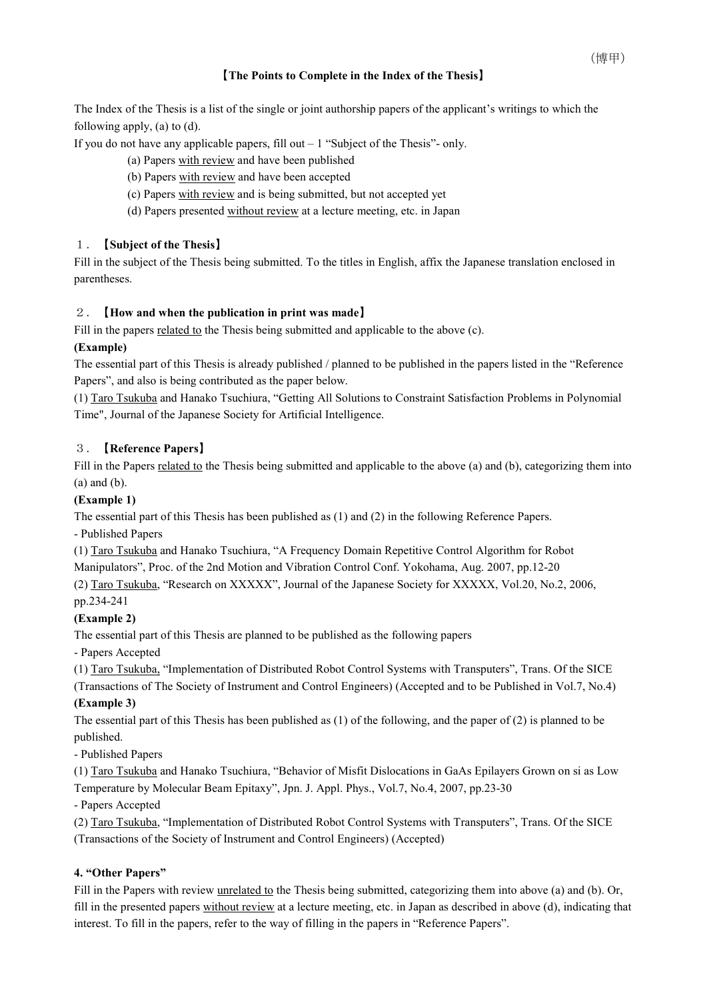#### 【**The Points to Complete in the Index of the Thesis**】

The Index of the Thesis is a list of the single or joint authorship papers of the applicant's writings to which the following apply, (a) to (d).

If you do not have any applicable papers, fill out – 1 "Subject of the Thesis"- only.

- (a) Papers with review and have been published
- (b) Papers with review and have been accepted
- (c) Papers with review and is being submitted, but not accepted yet
- (d) Papers presented without review at a lecture meeting, etc. in Japan

#### 1.【**Subject of the Thesis**】

Fill in the subject of the Thesis being submitted. To the titles in English, affix the Japanese translation enclosed in parentheses.

#### 2.【**How and when the publication in print was made**】

Fill in the papers related to the Thesis being submitted and applicable to the above (c).

#### **(Example)**

The essential part of this Thesis is already published / planned to be published in the papers listed in the "Reference Papers", and also is being contributed as the paper below.

(1) Taro Tsukuba and Hanako Tsuchiura, "Getting All Solutions to Constraint Satisfaction Problems in Polynomial Time", Journal of the Japanese Society for Artificial Intelligence.

#### 3.【**Reference Papers**】

Fill in the Papers related to the Thesis being submitted and applicable to the above (a) and (b), categorizing them into (a) and (b).

#### **(Example 1)**

The essential part of this Thesis has been published as (1) and (2) in the following Reference Papers.

- Published Papers

(1) Taro Tsukuba and Hanako Tsuchiura, "A Frequency Domain Repetitive Control Algorithm for Robot Manipulators", Proc. of the 2nd Motion and Vibration Control Conf. Yokohama, Aug. 2007, pp.12-20

(2) Taro Tsukuba, "Research on XXXXX", Journal of the Japanese Society for XXXXX, Vol.20, No.2, 2006, pp.234-241

#### **(Example 2)**

The essential part of this Thesis are planned to be published as the following papers

- Papers Accepted

(1) Taro Tsukuba, "Implementation of Distributed Robot Control Systems with Transputers", Trans. Of the SICE

(Transactions of The Society of Instrument and Control Engineers) (Accepted and to be Published in Vol.7, No.4) **(Example 3)**

The essential part of this Thesis has been published as (1) of the following, and the paper of (2) is planned to be published.

- Published Papers

(1) Taro Tsukuba and Hanako Tsuchiura, "Behavior of Misfit Dislocations in GaAs Epilayers Grown on si as Low Temperature by Molecular Beam Epitaxy", Jpn. J. Appl. Phys., Vol.7, No.4, 2007, pp.23-30

- Papers Accepted

(2) Taro Tsukuba, "Implementation of Distributed Robot Control Systems with Transputers", Trans. Of the SICE (Transactions of the Society of Instrument and Control Engineers) (Accepted)

#### **4. "Other Papers"**

Fill in the Papers with review unrelated to the Thesis being submitted, categorizing them into above (a) and (b). Or, fill in the presented papers without review at a lecture meeting, etc. in Japan as described in above (d), indicating that interest. To fill in the papers, refer to the way of filling in the papers in "Reference Papers".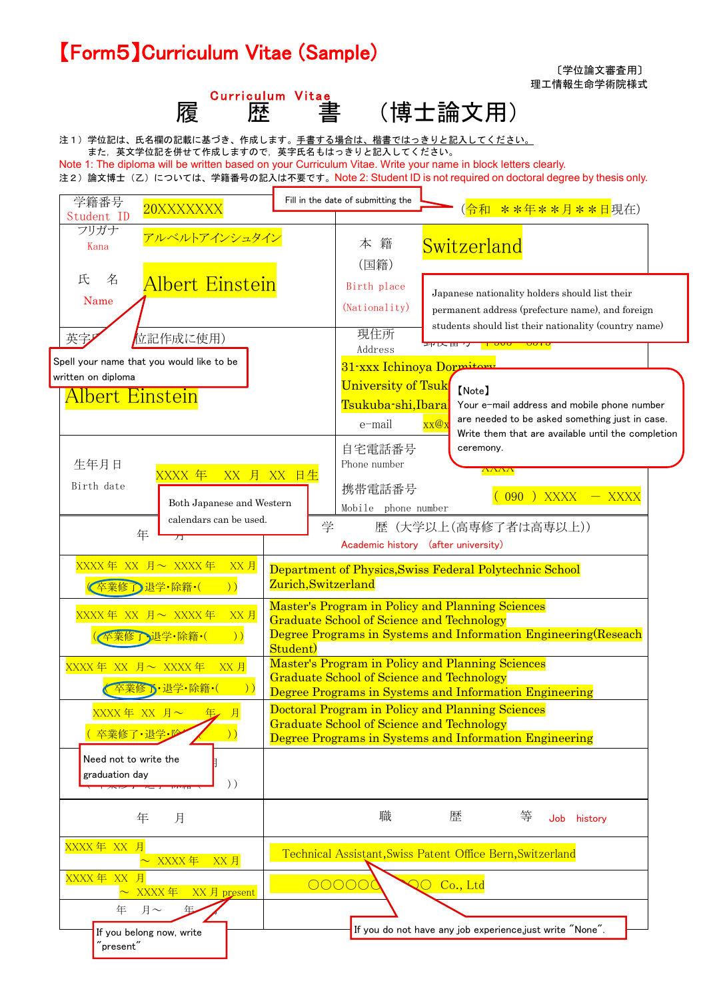## 別記様式第 5 号 【Form5】Curriculum Vitae (Sample)





注1)学位記は、氏名欄の記載に基づき、作成します。手書する場合は、楷書ではっきりと記入してください。 また,英文学位記を併せて作成しますので,英字氏名もはっきりと記入してください。

Note 1: The diploma will be written based on your Curriculum Vitae. Write your name in block letters clearly.

注2) 論文博士(乙)については、学籍番号の記入は不要です。Note 2: Student ID is not required on doctoral degree by thesis only.

| 学籍番号<br>20XXXXXXX                           |                     | Fill in the date of submitting the                      | (令和         | <mark>**年**月**日</mark> 現在)                                                  |          |
|---------------------------------------------|---------------------|---------------------------------------------------------|-------------|-----------------------------------------------------------------------------|----------|
| Student ID                                  |                     |                                                         |             |                                                                             |          |
| フリガナ<br>アルベルトアインシュタイン<br>Kana               |                     | 籍<br>本                                                  | Switzerland |                                                                             |          |
| 氏<br>名                                      |                     | (国籍)                                                    |             |                                                                             |          |
| Albert Einstein<br>Name                     |                     | Birth place                                             |             | Japanese nationality holders should list their                              |          |
|                                             |                     | (Nationality)                                           |             | permanent address (prefecture name), and foreign                            |          |
| 立記作成に使用)<br>英字                              |                     | 現住所<br>Address                                          |             | students should list their nationality (country name)<br>プリス 田 ワーコー on on o |          |
| Spell your name that you would like to be   |                     | 31-xxx Ichinoya Dormitory                               |             |                                                                             |          |
| written on diploma                          |                     | <b>University of Tsuk</b>                               |             |                                                                             |          |
| <u> Albert Einstein</u>                     |                     | Tsukuba-shi,Ibara                                       | [Note]      | Your e-mail address and mobile phone number                                 |          |
|                                             |                     | e-mail                                                  | XX@X        | are needed to be asked something just in case.                              |          |
|                                             |                     |                                                         |             | Write them that are available until the completion                          |          |
| 生年月日                                        |                     | 自宅電話番号<br>Phone number                                  | ceremony.   |                                                                             |          |
| XXXX 年<br>XX 月 XX 日生                        |                     |                                                         |             | $\Lambda\Lambda\Lambda\Lambda$                                              |          |
| Birth date<br>Both Japanese and Western     |                     | 携帯電話番号                                                  |             | 090 ) XXXX                                                                  | $-$ XXXX |
| calendars can be used.                      |                     | Mobile phone number                                     |             |                                                                             |          |
| 年<br>万                                      | 学                   |                                                         |             | 歴 (大学以上(高専修了者は高専以上))                                                        |          |
|                                             |                     | Academic history (after university)                     |             |                                                                             |          |
| XXXX年 XX 月~ XXXX年<br>XX 月                   |                     |                                                         |             | Department of Physics, Swiss Federal Polytechnic School                     |          |
| 卒業修了退学·除籍·(<br>)                            | Zurich, Switzerland |                                                         |             |                                                                             |          |
| XXXX年 XX 月~ XXXX年<br>XX 月                   |                     | Master's Program in Policy and Planning Sciences        |             |                                                                             |          |
| 卒業修了・退学・除籍・(<br>$)$ )                       |                     | <b>Graduate School of Science and Technology</b>        |             | Degree Programs in Systems and Information Engineering (Reseach             |          |
|                                             | Student)            |                                                         |             |                                                                             |          |
| XXXX年 XX 月~ XXXX年<br>$XX$ 月                 |                     | Master's Program in Policy and Planning Sciences        |             |                                                                             |          |
| $)$ )<br>卒業修了・退学・除籍・(                       |                     | <b>Graduate School of Science and Technology</b>        |             | Degree Programs in Systems and Information Engineering                      |          |
| XXXX年 XX 月~<br>月                            |                     | <b>Doctoral Program in Policy and Planning Sciences</b> |             |                                                                             |          |
|                                             |                     | <b>Graduate School of Science and Technology</b>        |             |                                                                             |          |
| $)$ )<br><mark>卒業修了・退学・</mark>              |                     |                                                         |             | Degree Programs in Systems and Information Engineering                      |          |
| Need not to write the                       |                     |                                                         |             |                                                                             |          |
| graduation day<br>$)$ )                     |                     |                                                         |             |                                                                             |          |
|                                             |                     |                                                         |             |                                                                             |          |
| 年<br>月                                      |                     | 職                                                       | 歴           | 等<br>history<br>Job                                                         |          |
| XXXX年 XX 月                                  |                     |                                                         |             |                                                                             |          |
| XXXX 年<br>XX 月                              |                     |                                                         |             | Technical Assistant, Swiss Patent Office Bern, Switzerland                  |          |
| XXXX 年 XX<br>月<br>XXXX 年<br>XX 月 present    |                     | 00000                                                   | QO Co., Ltd |                                                                             |          |
| 年.<br>月~<br>年                               |                     |                                                         |             |                                                                             |          |
| If you belong now, write                    |                     |                                                         |             | If you do not have any job experience just write "None".                    |          |
| $^{\prime\prime}$ present $^{\prime\prime}$ |                     |                                                         |             |                                                                             |          |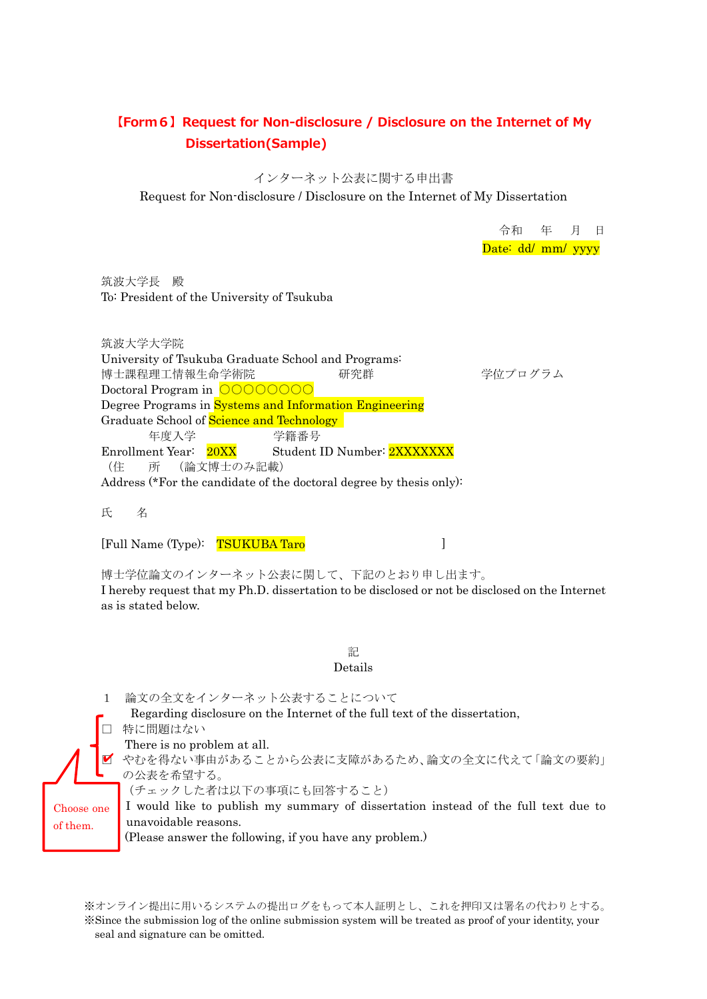### **【Form6】Request for Non-disclosure / Disclosure on the Internet of My Dissertation(Sample)**

インターネット公表に関する申出書

Request for Non-disclosure / Disclosure on the Internet of My Dissertation

令和 年 月 日 Date: dd/ mm/ yyyy

筑波大学長 殿 To: President of the University of Tsukuba

筑波大学大学院 University of Tsukuba Graduate School and Programs: 博士課程理工情報生命学術院 研究群 ありの 学位プログラム Doctoral Program in ○○○○○○○○ Degree Programs in Systems and Information Engineering Graduate School of Science and Technology 年度入学 学籍番号 Enrollment Year: 20XX Student ID Number: 2XXXXXXX (住 所 (論文博士のみ記載) Address (\*For the candidate of the doctoral degree by thesis only):

氏 名

[Full Name (Type): TSUKUBA Taro [1]

博士学位論文のインターネット公表に関して、下記のとおり申し出ます。 I hereby request that my Ph.D. dissertation to be disclosed or not be disclosed on the Internet as is stated below.

> 記 Details

1 論文の全文をインターネット公表することについて Regarding disclosure on the Internet of the full text of the dissertation, 特に問題はない There is no problem at all. ■ やむを得ない事由があることから公表に支障があるため、論文の全文に代えて「論文の要約」 の公表を希望する。 (チェックした者は以下の事項にも回答すること) I would like to publish my summary of dissertation instead of the full text due to unavoidable reasons. (Please answer the following, if you have any problem.) Choose one of them.

※オンライン提出に用いるシステムの提出ログをもって本人証明とし、これを押印又は署名の代わりとする。 ※Since the submission log of the online submission system will be treated as proof of your identity, your seal and signature can be omitted.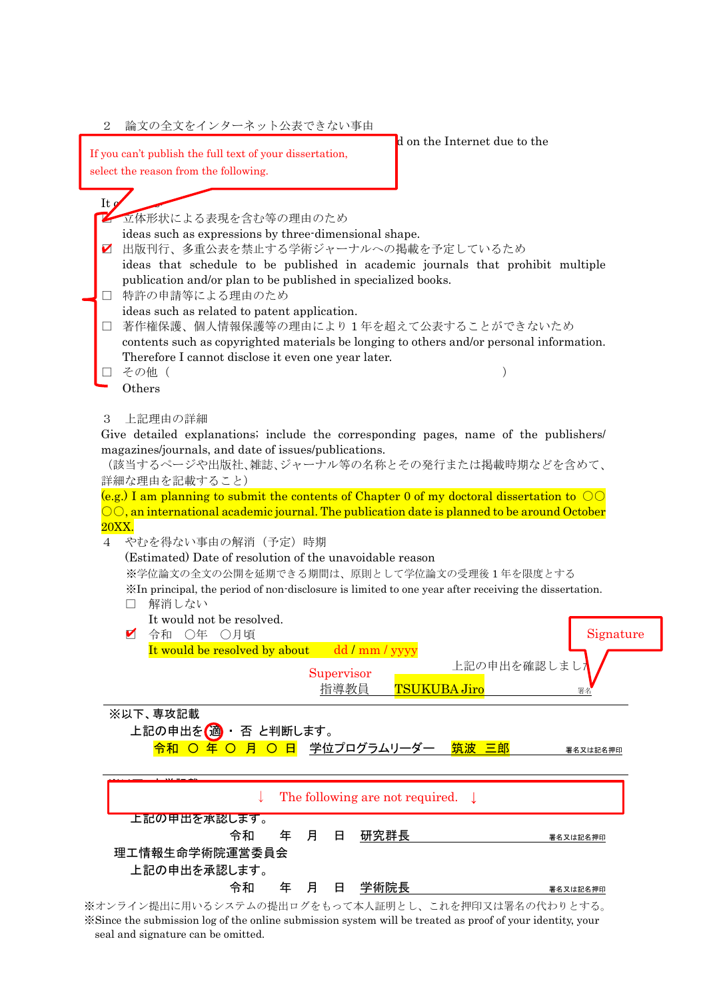| 論文の全文をインターネット公表できない事由<br>2                                                                                                                         |
|----------------------------------------------------------------------------------------------------------------------------------------------------|
| d on the Internet due to the<br>If you can't publish the full text of your dissertation,                                                           |
| select the reason from the following.                                                                                                              |
|                                                                                                                                                    |
| It $\boldsymbol{g}$<br>■ 立体形状による表現を含む等の理由のため                                                                                                       |
| ideas such as expressions by three-dimensional shape.                                                                                              |
| 出版刊行、多重公表を禁止する学術ジャーナルへの掲載を予定しているため<br>V                                                                                                            |
| ideas that schedule to be published in academic journals that prohibit multiple<br>publication and/or plan to be published in specialized books.   |
| 特許の申請等による理由のため<br>ideas such as related to patent application.                                                                                     |
| 著作権保護、個人情報保護等の理由により1年を超えて公表することができないため                                                                                                             |
| contents such as copyrighted materials be longing to others and/or personal information.                                                           |
| Therefore I cannot disclose it even one year later.<br>その他 (                                                                                       |
| Others                                                                                                                                             |
|                                                                                                                                                    |
| $\boldsymbol{3}$<br>上記理由の詳細                                                                                                                        |
| Give detailed explanations; include the corresponding pages, name of the publishers/<br>magazines/journals, and date of issues/publications.       |
| (該当するページや出版社、雑誌、ジャーナル等の名称とその発行または掲載時期などを含めて、                                                                                                       |
| 詳細な理由を記載すること)                                                                                                                                      |
| (e.g.) I am planning to submit the contents of Chapter 0 of my doctoral dissertation to $\circlearrowright \circlearrowright$                      |
| $\circledcirc$ , an international academic journal. The publication date is planned to be around October<br>20XX.                                  |
| やむを得ない事由の解消(予定)時期<br>$\overline{4}$                                                                                                                |
| (Estimated) Date of resolution of the unavoidable reason                                                                                           |
| ※学位論文の全文の公開を延期できる期間は、原則として学位論文の受理後1年を限度とする<br>XIn principal, the period of non-disclosure is limited to one year after receiving the dissertation. |
| 解消しない<br>$\Box$                                                                                                                                    |
| It would not be resolved.                                                                                                                          |
| 令和 ○年 ○月頃<br>☑<br>Signature                                                                                                                        |
| It would be resolved by about<br>dd / mm / yyyy<br>上記の申出を確認しま                                                                                      |
| Supervisor<br><b>TSUKUBA Jiro</b>                                                                                                                  |
| 指導教員<br>署名                                                                                                                                         |
| ※以下、専攻記載                                                                                                                                           |
| 上記の申出を(適)・ 否 と判断します。<br><mark>令和 ○ 年 ○ 月 ○ 日</mark> 学位プログラムリーダー 筑波 三郎                                                                              |
| 署名又は記名押印                                                                                                                                           |
|                                                                                                                                                    |
| The following are not required. $\downarrow$                                                                                                       |
| 上記の甲出を承認します。                                                                                                                                       |
| <u>研究群長</u><br>令和<br>月<br>年<br>日<br>署名又は記名押印                                                                                                       |
| 理工情報生命学術院運営委員会                                                                                                                                     |
| 上記の申出を承認します。<br>令和<br><u>学術院長</u><br>年<br>月<br>日                                                                                                   |
| 署名又は記名押印<br>※オンライン提出に用いるシステムの提出ログをもって本人証明とし、これを押印又は署名の代わりとする。                                                                                      |

※Since the submission log of the online submission system will be treated as proof of your identity, your seal and signature can be omitted.